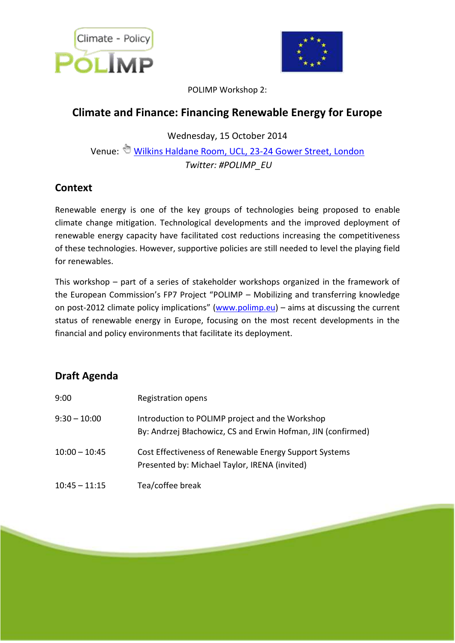



POLIMP Workshop 2:

## **Climate and Finance: Financing Renewable Energy for Europe**

Wednesday, 15 October 2014

Venue: [Wilkins Haldane Room, UCL, 23-24 Gower Street, London](http://crf.casa.ucl.ac.uk/printRoute.aspx?s=15&d=187&w=False) *Twitter: #POLIMP\_EU*

## **Context**

Renewable energy is one of the key groups of technologies being proposed to enable climate change mitigation. Technological developments and the improved deployment of renewable energy capacity have facilitated cost reductions increasing the competitiveness of these technologies. However, supportive policies are still needed to level the playing field for renewables.

This workshop – part of a series of stakeholder workshops organized in the framework of the European Commission's FP7 Project "POLIMP – Mobilizing and transferring knowledge on post-2012 climate policy implications" [\(www.polimp.eu\)](http://www.polimp.eu/) – aims at discussing the current status of renewable energy in Europe, focusing on the most recent developments in the financial and policy environments that facilitate its deployment.

## **Draft Agenda**

| 9:00            | Registration opens                                                                                              |
|-----------------|-----------------------------------------------------------------------------------------------------------------|
| $9:30 - 10:00$  | Introduction to POLIMP project and the Workshop<br>By: Andrzej Błachowicz, CS and Erwin Hofman, JIN (confirmed) |
| $10:00 - 10:45$ | Cost Effectiveness of Renewable Energy Support Systems<br>Presented by: Michael Taylor, IRENA (invited)         |
| $10:45 - 11:15$ | Tea/coffee break                                                                                                |